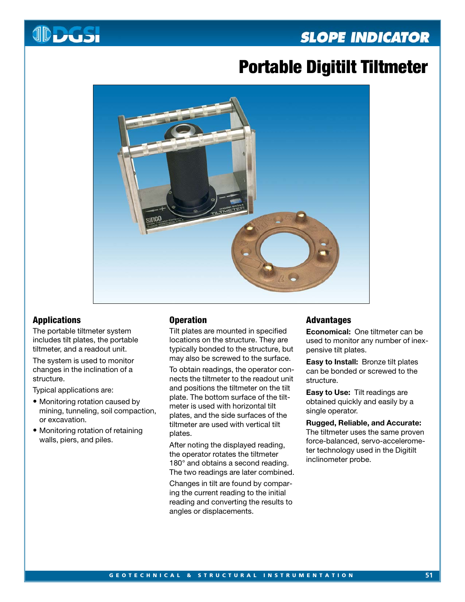# **SLOPE INDICATOR**



# **Portable Digitilt Tiltmeter**



# **Applications**

The portable tiltmeter system includes tilt plates, the portable tiltmeter, and a readout unit.

The system is used to monitor changes in the inclination of a structure.

Typical applications are:

- Monitoring rotation caused by mining, tunneling, soil compaction, or excavation.
- Monitoring rotation of retaining walls, piers, and piles.

## **Operation**

Tilt plates are mounted in specified locations on the structure. They are typically bonded to the structure, but may also be screwed to the surface.

To obtain readings, the operator connects the tiltmeter to the readout unit and positions the tiltmeter on the tilt plate. The bottom surface of the tiltmeter is used with horizontal tilt plates, and the side surfaces of the tiltmeter are used with vertical tilt plates.

After noting the displayed reading, the operator rotates the tiltmeter 180° and obtains a second reading. The two readings are later combined.

Changes in tilt are found by comparing the current reading to the initial reading and converting the results to angles or displacements.

## **Advantages**

**Economical:** One tiltmeter can be used to monitor any number of inexpensive tilt plates.

**Easy to Install:** Bronze tilt plates can be bonded or screwed to the structure.

**Easy to Use:** Tilt readings are obtained quickly and easily by a single operator.

#### **Rugged, Reliable, and Accurate:**

The tiltmeter uses the same proven force-balanced, servo-accelerometer technology used in the Digitilt inclinometer probe.